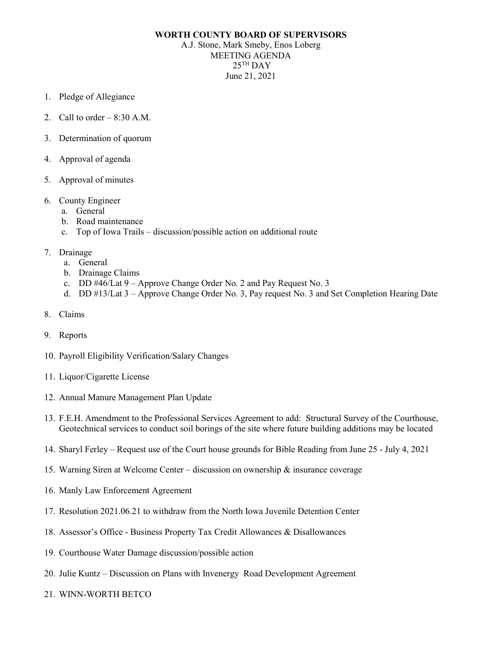## **WORTH COUNTY BOARD OF SUPERVISORS**

A.J. Stone, Mark Smeby, Enos Loberg MEETING AGENDA  $25$ <sup>TH</sup> DAY June 21, 2021

- 1. Pledge of Allegiance
- 2. Call to order  $-8:30$  A.M.
- 3. Determination of quorum
- 4. Approval of agenda
- 5. Approval of minutes
- 6. County Engineer
	- a. General
	- b. Road maintenance
	- c. Top of Iowa Trails discussion/possible action on additional route
- 7. Drainage
	- a. General
	- b. Drainage Claims
	- c. DD #46/Lat 9 Approve Change Order No. 2 and Pay Request No. 3
	- d. DD #13/Lat 3 Approve Change Order No. 3, Pay request No. 3 and Set Completion Hearing Date
- 8. Claims
- 9. Reports
- 10. Payroll Eligibility Verification/Salary Changes
- 11. Liquor/Cigarette License
- 12. Annual Manure Management Plan Update
- 13. F.E.H. Amendment to the Professional Services Agreement to add: Structural Survey of the Courthouse, Geotechnical services to conduct soil borings of the site where future building additions may be located
- 14. Sharyl Ferley Request use of the Court house grounds for Bible Reading from June 25 July 4, 2021
- 15. Warning Siren at Welcome Center discussion on ownership & insurance coverage
- 16. Manly Law Enforcement Agreement
- 17. Resolution 2021.06.21 to withdraw from the North Iowa Juvenile Detention Center
- 18. Assessor's Office Business Property Tax Credit Allowances & Disallowances
- 19. Courthouse Water Damage discussion/possible action
- 20. Julie Kuntz Discussion on Plans with Invenergy Road Development Agreement
- 21. WINN-WORTH BETCO